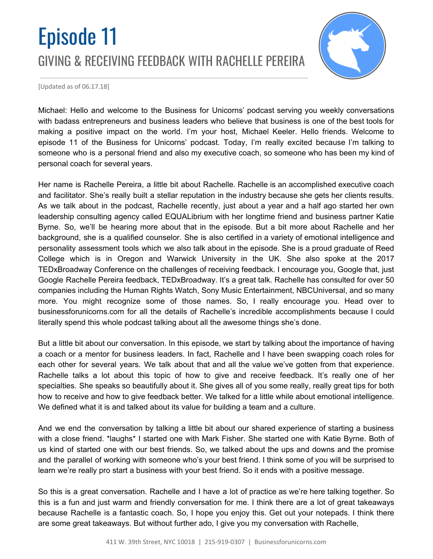# Episode 11 GIVING & RECEIVING FEEDBACK WITH RACHELLE PEREIRA



[Updated as of 06.17.18]

Michael: Hello and welcome to the Business for Unicorns' podcast serving you weekly conversations with badass entrepreneurs and business leaders who believe that business is one of the best tools for making a positive impact on the world. I'm your host, Michael Keeler. Hello friends. Welcome to episode 11 of the Business for Unicorns' podcast. Today, I'm really excited because I'm talking to someone who is a personal friend and also my executive coach, so someone who has been my kind of personal coach for several years.

Her name is Rachelle Pereira, a little bit about Rachelle. Rachelle is an accomplished executive coach and facilitator. She's really built a stellar reputation in the industry because she gets her clients results. As we talk about in the podcast, Rachelle recently, just about a year and a half ago started her own leadership consulting agency called EQUALibrium with her longtime friend and business partner Katie Byrne. So, we'll be hearing more about that in the episode. But a bit more about Rachelle and her background, she is a qualified counselor. She is also certified in a variety of emotional intelligence and personality assessment tools which we also talk about in the episode. She is a proud graduate of Reed College which is in Oregon and Warwick University in the UK. She also spoke at the 2017 TEDxBroadway Conference on the challenges of receiving feedback. I encourage you, Google that, just Google Rachelle Pereira feedback, TEDxBroadway. It's a great talk. Rachelle has consulted for over 50 companies including the Human Rights Watch, Sony Music Entertainment, NBCUniversal, and so many more. You might recognize some of those names. So, I really encourage you. Head over to businessforunicorns.com for all the details of Rachelle's incredible accomplishments because I could literally spend this whole podcast talking about all the awesome things she's done.

But a little bit about our conversation. In this episode, we start by talking about the importance of having a coach or a mentor for business leaders. In fact, Rachelle and I have been swapping coach roles for each other for several years. We talk about that and all the value we've gotten from that experience. Rachelle talks a lot about this topic of how to give and receive feedback. It's really one of her specialties. She speaks so beautifully about it. She gives all of you some really, really great tips for both how to receive and how to give feedback better. We talked for a little while about emotional intelligence. We defined what it is and talked about its value for building a team and a culture.

And we end the conversation by talking a little bit about our shared experience of starting a business with a close friend. \*laughs\* I started one with Mark Fisher. She started one with Katie Byrne. Both of us kind of started one with our best friends. So, we talked about the ups and downs and the promise and the parallel of working with someone who's your best friend. I think some of you will be surprised to learn we're really pro start a business with your best friend. So it ends with a positive message.

So this is a great conversation. Rachelle and I have a lot of practice as we're here talking together. So this is a fun and just warm and friendly conversation for me. I think there are a lot of great takeaways because Rachelle is a fantastic coach. So, I hope you enjoy this. Get out your notepads. I think there are some great takeaways. But without further ado, I give you my conversation with Rachelle,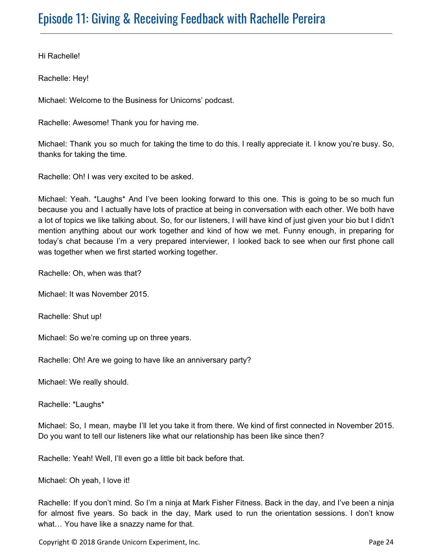Hi Rachelle!

Rachelle: Hey!

Michael: Welcome to the Business for Unicorns' podcast.

Rachelle: Awesome! Thank you for having me.

Michael: Thank you so much for taking the time to do this. I really appreciate it. I know you're busy. So, thanks for taking the time.

Rachelle: Oh! I was very excited to be asked.

Michael: Yeah. \*Laughs\* And I've been looking forward to this one. This is going to be so much fun because you and I actually have lots of practice at being in conversation with each other. We both have a lot of topics we like talking about. So, for our listeners, I will have kind of just given your bio but I didn't mention anything about our work together and kind of how we met. Funny enough, in preparing for today's chat because I'm a very prepared interviewer, I looked back to see when our first phone call was together when we first started working together.

Rachelle: Oh, when was that?

Michael: It was November 2015.

Rachelle: Shut up!

Michael: So we're coming up on three years.

Rachelle: Oh! Are we going to have like an anniversary party?

Michael: We really should.

Rachelle: \*Laughs\*

Michael: So, I mean, maybe I'll let you take it from there. We kind of first connected in November 2015. Do you want to tell our listeners like what our relationship has been like since then?

Rachelle: Yeah! Well, I'll even go a little bit back before that.

Michael: Oh yeah, I love it!

Rachelle: If you don't mind. So I'm a ninja at Mark Fisher Fitness. Back in the day, and I've been a ninja for almost five years. So back in the day, Mark used to run the orientation sessions. I don't know what… You have like a snazzy name for that.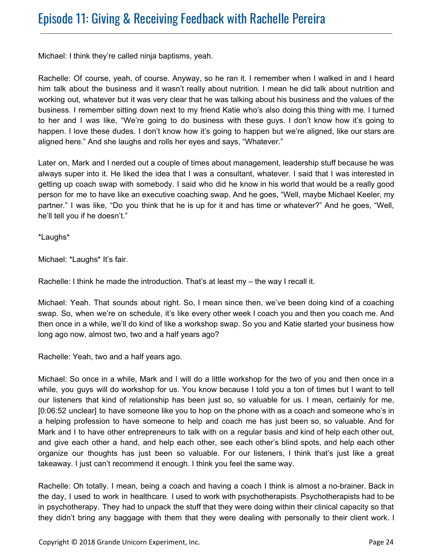Michael: I think they're called ninja baptisms, yeah.

Rachelle: Of course, yeah, of course. Anyway, so he ran it. I remember when I walked in and I heard him talk about the business and it wasn't really about nutrition. I mean he did talk about nutrition and working out, whatever but it was very clear that he was talking about his business and the values of the business. I remember sitting down next to my friend Katie who's also doing this thing with me. I turned to her and I was like, "We're going to do business with these guys. I don't know how it's going to happen. I love these dudes. I don't know how it's going to happen but we're aligned, like our stars are aligned here." And she laughs and rolls her eyes and says, "Whatever."

Later on, Mark and I nerded out a couple of times about management, leadership stuff because he was always super into it. He liked the idea that I was a consultant, whatever. I said that I was interested in getting up coach swap with somebody. I said who did he know in his world that would be a really good person for me to have like an executive coaching swap. And he goes, "Well, maybe Michael Keeler, my partner." I was like, "Do you think that he is up for it and has time or whatever?" And he goes, "Well, he'll tell you if he doesn't."

\*Laughs\*

Michael: \*Laughs\* It's fair.

Rachelle: I think he made the introduction. That's at least my – the way I recall it.

Michael: Yeah. That sounds about right. So, I mean since then, we've been doing kind of a coaching swap. So, when we're on schedule, it's like every other week I coach you and then you coach me. And then once in a while, we'll do kind of like a workshop swap. So you and Katie started your business how long ago now, almost two, two and a half years ago?

Rachelle: Yeah, two and a half years ago.

Michael: So once in a while, Mark and I will do a little workshop for the two of you and then once in a while, you guys will do workshop for us. You know because I told you a ton of times but I want to tell our listeners that kind of relationship has been just so, so valuable for us. I mean, certainly for me, [0:06:52 unclear] to have someone like you to hop on the phone with as a coach and someone who's in a helping profession to have someone to help and coach me has just been so, so valuable. And for Mark and I to have other entrepreneurs to talk with on a regular basis and kind of help each other out, and give each other a hand, and help each other, see each other's blind spots, and help each other organize our thoughts has just been so valuable. For our listeners, I think that's just like a great takeaway. I just can't recommend it enough. I think you feel the same way.

Rachelle: Oh totally. I mean, being a coach and having a coach I think is almost a no-brainer. Back in the day, I used to work in healthcare. I used to work with psychotherapists. Psychotherapists had to be in psychotherapy. They had to unpack the stuff that they were doing within their clinical capacity so that they didn't bring any baggage with them that they were dealing with personally to their client work. I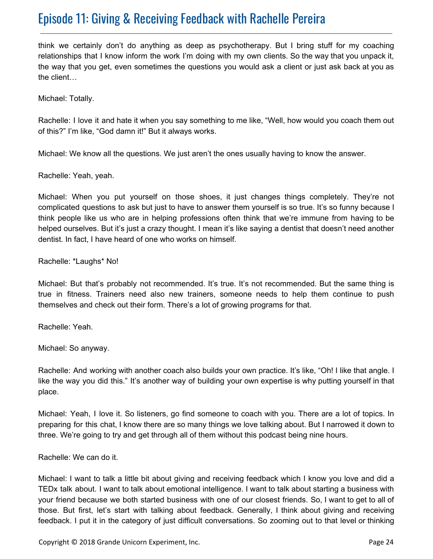think we certainly don't do anything as deep as psychotherapy. But I bring stuff for my coaching relationships that I know inform the work I'm doing with my own clients. So the way that you unpack it, the way that you get, even sometimes the questions you would ask a client or just ask back at you as the client…

Michael: Totally.

Rachelle: I love it and hate it when you say something to me like, "Well, how would you coach them out of this?" I'm like, "God damn it!" But it always works.

Michael: We know all the questions. We just aren't the ones usually having to know the answer.

Rachelle: Yeah, yeah.

Michael: When you put yourself on those shoes, it just changes things completely. They're not complicated questions to ask but just to have to answer them yourself is so true. It's so funny because I think people like us who are in helping professions often think that we're immune from having to be helped ourselves. But it's just a crazy thought. I mean it's like saying a dentist that doesn't need another dentist. In fact, I have heard of one who works on himself.

Rachelle: \*Laughs\* No!

Michael: But that's probably not recommended. It's true. It's not recommended. But the same thing is true in fitness. Trainers need also new trainers, someone needs to help them continue to push themselves and check out their form. There's a lot of growing programs for that.

Rachelle: Yeah.

Michael: So anyway.

Rachelle: And working with another coach also builds your own practice. It's like, "Oh! I like that angle. I like the way you did this." It's another way of building your own expertise is why putting yourself in that place.

Michael: Yeah, I love it. So listeners, go find someone to coach with you. There are a lot of topics. In preparing for this chat, I know there are so many things we love talking about. But I narrowed it down to three. We're going to try and get through all of them without this podcast being nine hours.

Rachelle: We can do it.

Michael: I want to talk a little bit about giving and receiving feedback which I know you love and did a TEDx talk about. I want to talk about emotional intelligence. I want to talk about starting a business with your friend because we both started business with one of our closest friends. So, I want to get to all of those. But first, let's start with talking about feedback. Generally, I think about giving and receiving feedback. I put it in the category of just difficult conversations. So zooming out to that level or thinking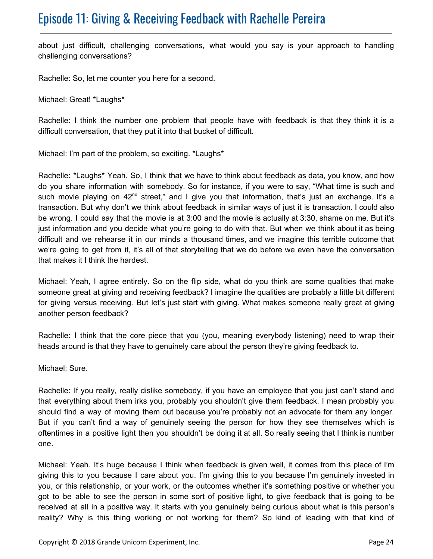about just difficult, challenging conversations, what would you say is your approach to handling challenging conversations?

Rachelle: So, let me counter you here for a second.

Michael: Great! \*Laughs\*

Rachelle: I think the number one problem that people have with feedback is that they think it is a difficult conversation, that they put it into that bucket of difficult.

Michael: I'm part of the problem, so exciting. \*Laughs\*

Rachelle: \*Laughs\* Yeah. So, I think that we have to think about feedback as data, you know, and how do you share information with somebody. So for instance, if you were to say, "What time is such and such movie playing on 42<sup>nd</sup> street," and I give you that information, that's just an exchange. It's a transaction. But why don't we think about feedback in similar ways of just it is transaction. I could also be wrong. I could say that the movie is at 3:00 and the movie is actually at 3:30, shame on me. But it's just information and you decide what you're going to do with that. But when we think about it as being difficult and we rehearse it in our minds a thousand times, and we imagine this terrible outcome that we're going to get from it, it's all of that storytelling that we do before we even have the conversation that makes it I think the hardest.

Michael: Yeah, I agree entirely. So on the flip side, what do you think are some qualities that make someone great at giving and receiving feedback? I imagine the qualities are probably a little bit different for giving versus receiving. But let's just start with giving. What makes someone really great at giving another person feedback?

Rachelle: I think that the core piece that you (you, meaning everybody listening) need to wrap their heads around is that they have to genuinely care about the person they're giving feedback to.

Michael: Sure.

Rachelle: If you really, really dislike somebody, if you have an employee that you just can't stand and that everything about them irks you, probably you shouldn't give them feedback. I mean probably you should find a way of moving them out because you're probably not an advocate for them any longer. But if you can't find a way of genuinely seeing the person for how they see themselves which is oftentimes in a positive light then you shouldn't be doing it at all. So really seeing that I think is number one.

Michael: Yeah. It's huge because I think when feedback is given well, it comes from this place of I'm giving this to you because I care about you. I'm giving this to you because I'm genuinely invested in you, or this relationship, or your work, or the outcomes whether it's something positive or whether you got to be able to see the person in some sort of positive light, to give feedback that is going to be received at all in a positive way. It starts with you genuinely being curious about what is this person's reality? Why is this thing working or not working for them? So kind of leading with that kind of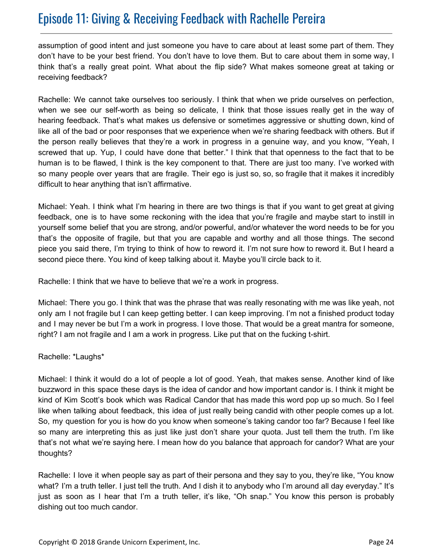assumption of good intent and just someone you have to care about at least some part of them. They don't have to be your best friend. You don't have to love them. But to care about them in some way, I think that's a really great point. What about the flip side? What makes someone great at taking or receiving feedback?

Rachelle: We cannot take ourselves too seriously. I think that when we pride ourselves on perfection, when we see our self-worth as being so delicate, I think that those issues really get in the way of hearing feedback. That's what makes us defensive or sometimes aggressive or shutting down, kind of like all of the bad or poor responses that we experience when we're sharing feedback with others. But if the person really believes that they're a work in progress in a genuine way, and you know, "Yeah, I screwed that up. Yup, I could have done that better." I think that that openness to the fact that to be human is to be flawed, I think is the key component to that. There are just too many. I've worked with so many people over years that are fragile. Their ego is just so, so, so fragile that it makes it incredibly difficult to hear anything that isn't affirmative.

Michael: Yeah. I think what I'm hearing in there are two things is that if you want to get great at giving feedback, one is to have some reckoning with the idea that you're fragile and maybe start to instill in yourself some belief that you are strong, and/or powerful, and/or whatever the word needs to be for you that's the opposite of fragile, but that you are capable and worthy and all those things. The second piece you said there, I'm trying to think of how to reword it. I'm not sure how to reword it. But I heard a second piece there. You kind of keep talking about it. Maybe you'll circle back to it.

Rachelle: I think that we have to believe that we're a work in progress.

Michael: There you go. I think that was the phrase that was really resonating with me was like yeah, not only am I not fragile but I can keep getting better. I can keep improving. I'm not a finished product today and I may never be but I'm a work in progress. I love those. That would be a great mantra for someone, right? I am not fragile and I am a work in progress. Like put that on the fucking t-shirt.

#### Rachelle: \*Laughs\*

Michael: I think it would do a lot of people a lot of good. Yeah, that makes sense. Another kind of like buzzword in this space these days is the idea of candor and how important candor is. I think it might be kind of Kim Scott's book which was Radical Candor that has made this word pop up so much. So I feel like when talking about feedback, this idea of just really being candid with other people comes up a lot. So, my question for you is how do you know when someone's taking candor too far? Because I feel like so many are interpreting this as just like just don't share your quota. Just tell them the truth. I'm like that's not what we're saying here. I mean how do you balance that approach for candor? What are your thoughts?

Rachelle: I love it when people say as part of their persona and they say to you, they're like, "You know what? I'm a truth teller. I just tell the truth. And I dish it to anybody who I'm around all day everyday." It's just as soon as I hear that I'm a truth teller, it's like, "Oh snap." You know this person is probably dishing out too much candor.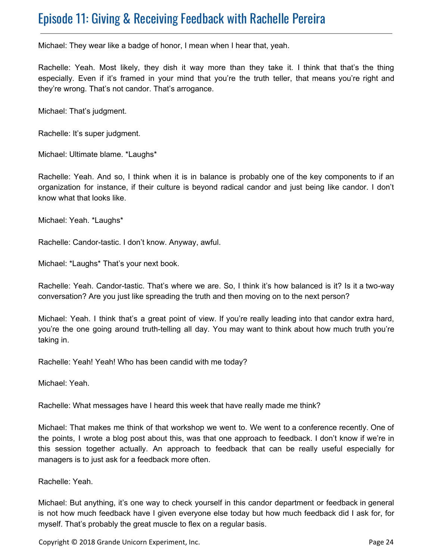Michael: They wear like a badge of honor, I mean when I hear that, yeah.

Rachelle: Yeah. Most likely, they dish it way more than they take it. I think that that's the thing especially. Even if it's framed in your mind that you're the truth teller, that means you're right and they're wrong. That's not candor. That's arrogance.

Michael: That's judgment.

Rachelle: It's super judgment.

Michael: Ultimate blame. \*Laughs\*

Rachelle: Yeah. And so, I think when it is in balance is probably one of the key components to if an organization for instance, if their culture is beyond radical candor and just being like candor. I don't know what that looks like.

Michael: Yeah. \*Laughs\*

Rachelle: Candor-tastic. I don't know. Anyway, awful.

Michael: \*Laughs\* That's your next book.

Rachelle: Yeah. Candor-tastic. That's where we are. So, I think it's how balanced is it? Is it a two-way conversation? Are you just like spreading the truth and then moving on to the next person?

Michael: Yeah. I think that's a great point of view. If you're really leading into that candor extra hard, you're the one going around truth-telling all day. You may want to think about how much truth you're taking in.

Rachelle: Yeah! Yeah! Who has been candid with me today?

Michael: Yeah.

Rachelle: What messages have I heard this week that have really made me think?

Michael: That makes me think of that workshop we went to. We went to a conference recently. One of the points, I wrote a blog post about this, was that one approach to feedback. I don't know if we're in this session together actually. An approach to feedback that can be really useful especially for managers is to just ask for a feedback more often.

Rachelle: Yeah.

Michael: But anything, it's one way to check yourself in this candor department or feedback in general is not how much feedback have I given everyone else today but how much feedback did I ask for, for myself. That's probably the great muscle to flex on a regular basis.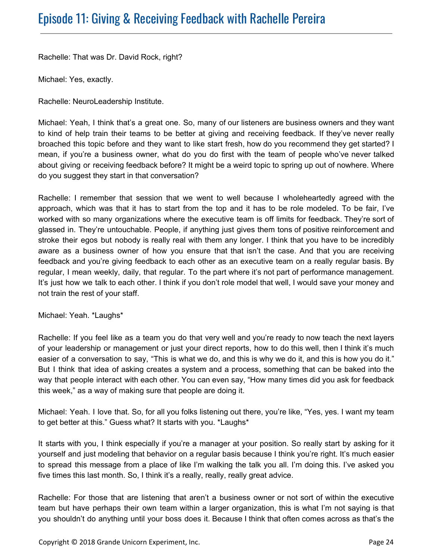Rachelle: That was Dr. David Rock, right?

Michael: Yes, exactly.

Rachelle: NeuroLeadership Institute.

Michael: Yeah, I think that's a great one. So, many of our listeners are business owners and they want to kind of help train their teams to be better at giving and receiving feedback. If they've never really broached this topic before and they want to like start fresh, how do you recommend they get started? I mean, if you're a business owner, what do you do first with the team of people who've never talked about giving or receiving feedback before? It might be a weird topic to spring up out of nowhere. Where do you suggest they start in that conversation?

Rachelle: I remember that session that we went to well because I wholeheartedly agreed with the approach, which was that it has to start from the top and it has to be role modeled. To be fair, I've worked with so many organizations where the executive team is off limits for feedback. They're sort of glassed in. They're untouchable. People, if anything just gives them tons of positive reinforcement and stroke their egos but nobody is really real with them any longer. I think that you have to be incredibly aware as a business owner of how you ensure that that isn't the case. And that you are receiving feedback and you're giving feedback to each other as an executive team on a really regular basis. By regular, I mean weekly, daily, that regular. To the part where it's not part of performance management. It's just how we talk to each other. I think if you don't role model that well, I would save your money and not train the rest of your staff.

Michael: Yeah. \*Laughs\*

Rachelle: If you feel like as a team you do that very well and you're ready to now teach the next layers of your leadership or management or just your direct reports, how to do this well, then I think it's much easier of a conversation to say, "This is what we do, and this is why we do it, and this is how you do it." But I think that idea of asking creates a system and a process, something that can be baked into the way that people interact with each other. You can even say, "How many times did you ask for feedback this week," as a way of making sure that people are doing it.

Michael: Yeah. I love that. So, for all you folks listening out there, you're like, "Yes, yes. I want my team to get better at this." Guess what? It starts with you. \*Laughs\*

It starts with you, I think especially if you're a manager at your position. So really start by asking for it yourself and just modeling that behavior on a regular basis because I think you're right. It's much easier to spread this message from a place of like I'm walking the talk you all. I'm doing this. I've asked you five times this last month. So, I think it's a really, really, really great advice.

Rachelle: For those that are listening that aren't a business owner or not sort of within the executive team but have perhaps their own team within a larger organization, this is what I'm not saying is that you shouldn't do anything until your boss does it. Because I think that often comes across as that's the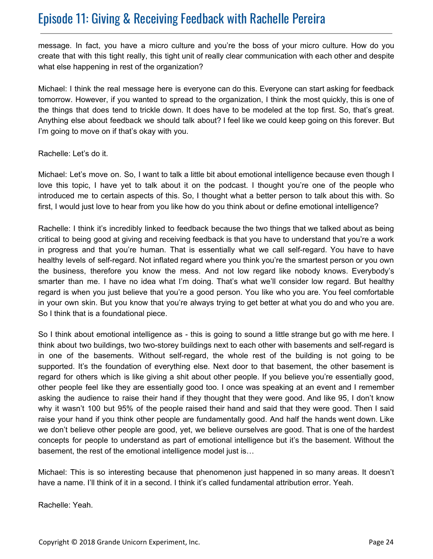message. In fact, you have a micro culture and you're the boss of your micro culture. How do you create that with this tight really, this tight unit of really clear communication with each other and despite what else happening in rest of the organization?

Michael: I think the real message here is everyone can do this. Everyone can start asking for feedback tomorrow. However, if you wanted to spread to the organization, I think the most quickly, this is one of the things that does tend to trickle down. It does have to be modeled at the top first. So, that's great. Anything else about feedback we should talk about? I feel like we could keep going on this forever. But I'm going to move on if that's okay with you.

#### Rachelle: Let's do it.

Michael: Let's move on. So, I want to talk a little bit about emotional intelligence because even though I love this topic, I have yet to talk about it on the podcast. I thought you're one of the people who introduced me to certain aspects of this. So, I thought what a better person to talk about this with. So first, I would just love to hear from you like how do you think about or define emotional intelligence?

Rachelle: I think it's incredibly linked to feedback because the two things that we talked about as being critical to being good at giving and receiving feedback is that you have to understand that you're a work in progress and that you're human. That is essentially what we call self-regard. You have to have healthy levels of self-regard. Not inflated regard where you think you're the smartest person or you own the business, therefore you know the mess. And not low regard like nobody knows. Everybody's smarter than me. I have no idea what I'm doing. That's what we'll consider low regard. But healthy regard is when you just believe that you're a good person. You like who you are. You feel comfortable in your own skin. But you know that you're always trying to get better at what you do and who you are. So I think that is a foundational piece.

So I think about emotional intelligence as - this is going to sound a little strange but go with me here. I think about two buildings, two two-storey buildings next to each other with basements and self-regard is in one of the basements. Without self-regard, the whole rest of the building is not going to be supported. It's the foundation of everything else. Next door to that basement, the other basement is regard for others which is like giving a shit about other people. If you believe you're essentially good, other people feel like they are essentially good too. I once was speaking at an event and I remember asking the audience to raise their hand if they thought that they were good. And like 95, I don't know why it wasn't 100 but 95% of the people raised their hand and said that they were good. Then I said raise your hand if you think other people are fundamentally good. And half the hands went down. Like we don't believe other people are good, yet, we believe ourselves are good. That is one of the hardest concepts for people to understand as part of emotional intelligence but it's the basement. Without the basement, the rest of the emotional intelligence model just is…

Michael: This is so interesting because that phenomenon just happened in so many areas. It doesn't have a name. I'll think of it in a second. I think it's called fundamental attribution error. Yeah.

Rachelle: Yeah.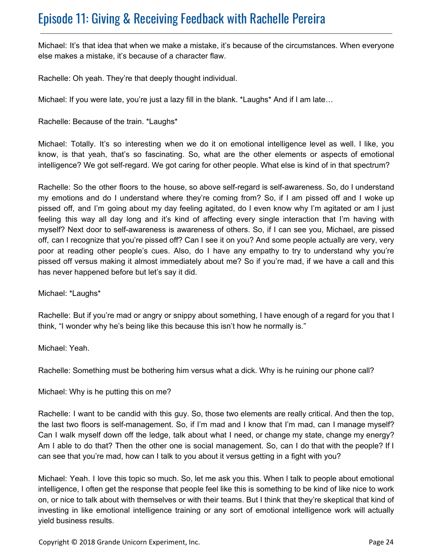Michael: It's that idea that when we make a mistake, it's because of the circumstances. When everyone else makes a mistake, it's because of a character flaw.

Rachelle: Oh yeah. They're that deeply thought individual.

Michael: If you were late, you're just a lazy fill in the blank. \*Laughs\* And if I am late...

Rachelle: Because of the train. \*Laughs\*

Michael: Totally. It's so interesting when we do it on emotional intelligence level as well. I like, you know, is that yeah, that's so fascinating. So, what are the other elements or aspects of emotional intelligence? We got self-regard. We got caring for other people. What else is kind of in that spectrum?

Rachelle: So the other floors to the house, so above self-regard is self-awareness. So, do I understand my emotions and do I understand where they're coming from? So, if I am pissed off and I woke up pissed off, and I'm going about my day feeling agitated, do I even know why I'm agitated or am I just feeling this way all day long and it's kind of affecting every single interaction that I'm having with myself? Next door to self-awareness is awareness of others. So, if I can see you, Michael, are pissed off, can I recognize that you're pissed off? Can I see it on you? And some people actually are very, very poor at reading other people's cues. Also, do I have any empathy to try to understand why you're pissed off versus making it almost immediately about me? So if you're mad, if we have a call and this has never happened before but let's say it did.

Michael: \*Laughs\*

Rachelle: But if you're mad or angry or snippy about something, I have enough of a regard for you that I think, "I wonder why he's being like this because this isn't how he normally is."

Michael: Yeah.

Rachelle: Something must be bothering him versus what a dick. Why is he ruining our phone call?

Michael: Why is he putting this on me?

Rachelle: I want to be candid with this guy. So, those two elements are really critical. And then the top, the last two floors is self-management. So, if I'm mad and I know that I'm mad, can I manage myself? Can I walk myself down off the ledge, talk about what I need, or change my state, change my energy? Am I able to do that? Then the other one is social management. So, can I do that with the people? If I can see that you're mad, how can I talk to you about it versus getting in a fight with you?

Michael: Yeah. I love this topic so much. So, let me ask you this. When I talk to people about emotional intelligence, I often get the response that people feel like this is something to be kind of like nice to work on, or nice to talk about with themselves or with their teams. But I think that they're skeptical that kind of investing in like emotional intelligence training or any sort of emotional intelligence work will actually yield business results.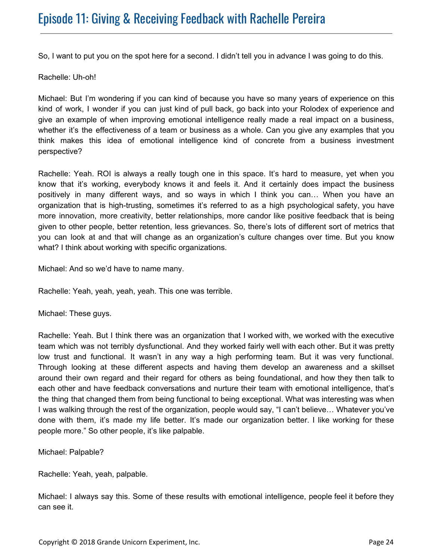So, I want to put you on the spot here for a second. I didn't tell you in advance I was going to do this.

Rachelle: Uh-oh!

Michael: But I'm wondering if you can kind of because you have so many years of experience on this kind of work, I wonder if you can just kind of pull back, go back into your Rolodex of experience and give an example of when improving emotional intelligence really made a real impact on a business, whether it's the effectiveness of a team or business as a whole. Can you give any examples that you think makes this idea of emotional intelligence kind of concrete from a business investment perspective?

Rachelle: Yeah. ROI is always a really tough one in this space. It's hard to measure, yet when you know that it's working, everybody knows it and feels it. And it certainly does impact the business positively in many different ways, and so ways in which I think you can… When you have an organization that is high-trusting, sometimes it's referred to as a high psychological safety, you have more innovation, more creativity, better relationships, more candor like positive feedback that is being given to other people, better retention, less grievances. So, there's lots of different sort of metrics that you can look at and that will change as an organization's culture changes over time. But you know what? I think about working with specific organizations.

Michael: And so we'd have to name many.

Rachelle: Yeah, yeah, yeah, yeah. This one was terrible.

Michael: These guys.

Rachelle: Yeah. But I think there was an organization that I worked with, we worked with the executive team which was not terribly dysfunctional. And they worked fairly well with each other. But it was pretty low trust and functional. It wasn't in any way a high performing team. But it was very functional. Through looking at these different aspects and having them develop an awareness and a skillset around their own regard and their regard for others as being foundational, and how they then talk to each other and have feedback conversations and nurture their team with emotional intelligence, that's the thing that changed them from being functional to being exceptional. What was interesting was when I was walking through the rest of the organization, people would say, "I can't believe… Whatever you've done with them, it's made my life better. It's made our organization better. I like working for these people more." So other people, it's like palpable.

Michael: Palpable?

Rachelle: Yeah, yeah, palpable.

Michael: I always say this. Some of these results with emotional intelligence, people feel it before they can see it.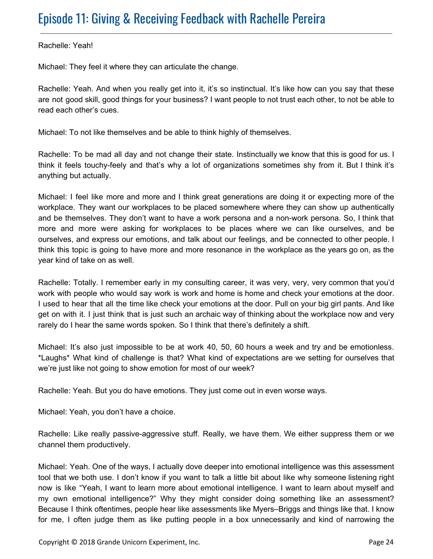Rachelle: Yeah!

Michael: They feel it where they can articulate the change.

Rachelle: Yeah. And when you really get into it, it's so instinctual. It's like how can you say that these are not good skill, good things for your business? I want people to not trust each other, to not be able to read each other's cues.

Michael: To not like themselves and be able to think highly of themselves.

Rachelle: To be mad all day and not change their state. Instinctually we know that this is good for us. I think it feels touchy-feely and that's why a lot of organizations sometimes shy from it. But I think it's anything but actually.

Michael: I feel like more and more and I think great generations are doing it or expecting more of the workplace. They want our workplaces to be placed somewhere where they can show up authentically and be themselves. They don't want to have a work persona and a non-work persona. So, I think that more and more were asking for workplaces to be places where we can like ourselves, and be ourselves, and express our emotions, and talk about our feelings, and be connected to other people. I think this topic is going to have more and more resonance in the workplace as the years go on, as the year kind of take on as well.

Rachelle: Totally. I remember early in my consulting career, it was very, very, very common that you'd work with people who would say work is work and home is home and check your emotions at the door. I used to hear that all the time like check your emotions at the door. Pull on your big girl pants. And like get on with it. I just think that is just such an archaic way of thinking about the workplace now and very rarely do I hear the same words spoken. So I think that there's definitely a shift.

Michael: It's also just impossible to be at work 40, 50, 60 hours a week and try and be emotionless. \*Laughs\* What kind of challenge is that? What kind of expectations are we setting for ourselves that we're just like not going to show emotion for most of our week?

Rachelle: Yeah. But you do have emotions. They just come out in even worse ways.

Michael: Yeah, you don't have a choice.

Rachelle: Like really passive-aggressive stuff. Really, we have them. We either suppress them or we channel them productively.

Michael: Yeah. One of the ways, I actually dove deeper into emotional intelligence was this assessment tool that we both use. I don't know if you want to talk a little bit about like why someone listening right now is like "Yeah, I want to learn more about emotional intelligence. I want to learn about myself and my own emotional intelligence?" Why they might consider doing something like an assessment? Because I think oftentimes, people hear like assessments like Myers–Briggs and things like that. I know for me, I often judge them as like putting people in a box unnecessarily and kind of narrowing the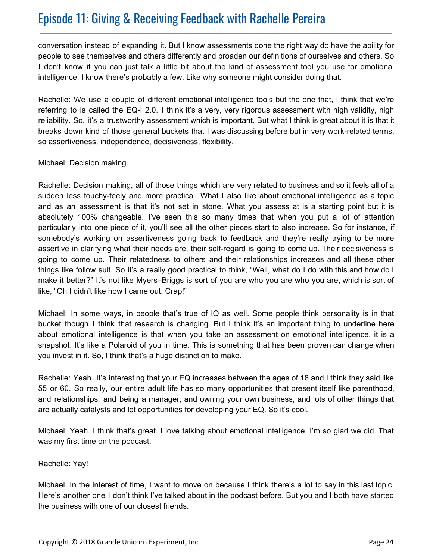conversation instead of expanding it. But I know assessments done the right way do have the ability for people to see themselves and others differently and broaden our definitions of ourselves and others. So I don't know if you can just talk a little bit about the kind of assessment tool you use for emotional intelligence. I know there's probably a few. Like why someone might consider doing that.

Rachelle: We use a couple of different emotional intelligence tools but the one that, I think that we're referring to is called the EQ-i 2.0. I think it's a very, very rigorous assessment with high validity, high reliability. So, it's a trustworthy assessment which is important. But what I think is great about it is that it breaks down kind of those general buckets that I was discussing before but in very work-related terms, so assertiveness, independence, decisiveness, flexibility.

Michael: Decision making.

Rachelle: Decision making, all of those things which are very related to business and so it feels all of a sudden less touchy-feely and more practical. What I also like about emotional intelligence as a topic and as an assessment is that it's not set in stone. What you assess at is a starting point but it is absolutely 100% changeable. I've seen this so many times that when you put a lot of attention particularly into one piece of it, you'll see all the other pieces start to also increase. So for instance, if somebody's working on assertiveness going back to feedback and they're really trying to be more assertive in clarifying what their needs are, their self-regard is going to come up. Their decisiveness is going to come up. Their relatedness to others and their relationships increases and all these other things like follow suit. So it's a really good practical to think, "Well, what do I do with this and how do I make it better?" It's not like Myers–Briggs is sort of you are who you are who you are, which is sort of like, "Oh I didn't like how I came out. Crap!"

Michael: In some ways, in people that's true of IQ as well. Some people think personality is in that bucket though I think that research is changing. But I think it's an important thing to underline here about emotional intelligence is that when you take an assessment on emotional intelligence, it is a snapshot. It's like a Polaroid of you in time. This is something that has been proven can change when you invest in it. So, I think that's a huge distinction to make.

Rachelle: Yeah. It's interesting that your EQ increases between the ages of 18 and I think they said like 55 or 60. So really, our entire adult life has so many opportunities that present itself like parenthood, and relationships, and being a manager, and owning your own business, and lots of other things that are actually catalysts and let opportunities for developing your EQ. So it's cool.

Michael: Yeah. I think that's great. I love talking about emotional intelligence. I'm so glad we did. That was my first time on the podcast.

#### Rachelle: Yay!

Michael: In the interest of time, I want to move on because I think there's a lot to say in this last topic. Here's another one I don't think I've talked about in the podcast before. But you and I both have started the business with one of our closest friends.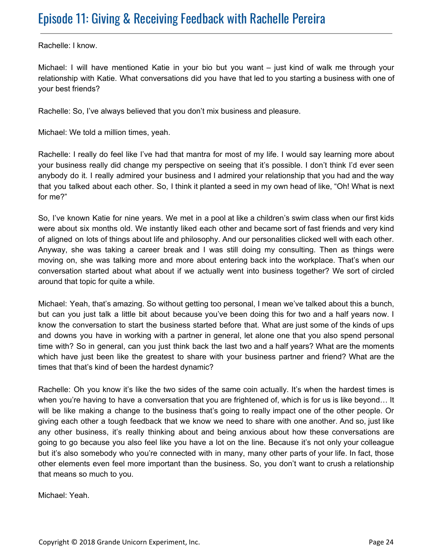Rachelle: I know.

Michael: I will have mentioned Katie in your bio but you want – just kind of walk me through your relationship with Katie. What conversations did you have that led to you starting a business with one of your best friends?

Rachelle: So, I've always believed that you don't mix business and pleasure.

Michael: We told a million times, yeah.

Rachelle: I really do feel like I've had that mantra for most of my life. I would say learning more about your business really did change my perspective on seeing that it's possible. I don't think I'd ever seen anybody do it. I really admired your business and I admired your relationship that you had and the way that you talked about each other. So, I think it planted a seed in my own head of like, "Oh! What is next for me?"

So, I've known Katie for nine years. We met in a pool at like a children's swim class when our first kids were about six months old. We instantly liked each other and became sort of fast friends and very kind of aligned on lots of things about life and philosophy. And our personalities clicked well with each other. Anyway, she was taking a career break and I was still doing my consulting. Then as things were moving on, she was talking more and more about entering back into the workplace. That's when our conversation started about what about if we actually went into business together? We sort of circled around that topic for quite a while.

Michael: Yeah, that's amazing. So without getting too personal, I mean we've talked about this a bunch, but can you just talk a little bit about because you've been doing this for two and a half years now. I know the conversation to start the business started before that. What are just some of the kinds of ups and downs you have in working with a partner in general, let alone one that you also spend personal time with? So in general, can you just think back the last two and a half years? What are the moments which have just been like the greatest to share with your business partner and friend? What are the times that that's kind of been the hardest dynamic?

Rachelle: Oh you know it's like the two sides of the same coin actually. It's when the hardest times is when you're having to have a conversation that you are frightened of, which is for us is like beyond… It will be like making a change to the business that's going to really impact one of the other people. Or giving each other a tough feedback that we know we need to share with one another. And so, just like any other business, it's really thinking about and being anxious about how these conversations are going to go because you also feel like you have a lot on the line. Because it's not only your colleague but it's also somebody who you're connected with in many, many other parts of your life. In fact, those other elements even feel more important than the business. So, you don't want to crush a relationship that means so much to you.

Michael: Yeah.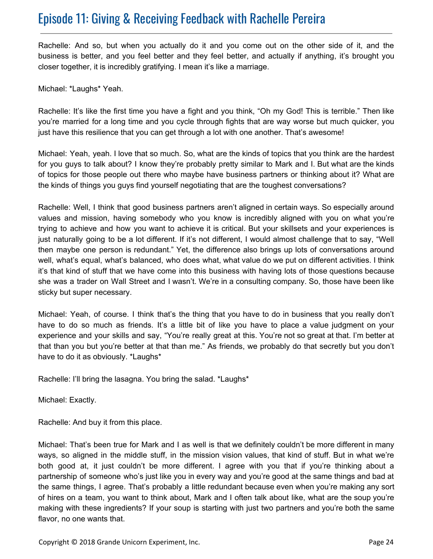Rachelle: And so, but when you actually do it and you come out on the other side of it, and the business is better, and you feel better and they feel better, and actually if anything, it's brought you closer together, it is incredibly gratifying. I mean it's like a marriage.

Michael: \*Laughs\* Yeah.

Rachelle: It's like the first time you have a fight and you think, "Oh my God! This is terrible." Then like you're married for a long time and you cycle through fights that are way worse but much quicker, you just have this resilience that you can get through a lot with one another. That's awesome!

Michael: Yeah, yeah. I love that so much. So, what are the kinds of topics that you think are the hardest for you guys to talk about? I know they're probably pretty similar to Mark and I. But what are the kinds of topics for those people out there who maybe have business partners or thinking about it? What are the kinds of things you guys find yourself negotiating that are the toughest conversations?

Rachelle: Well, I think that good business partners aren't aligned in certain ways. So especially around values and mission, having somebody who you know is incredibly aligned with you on what you're trying to achieve and how you want to achieve it is critical. But your skillsets and your experiences is just naturally going to be a lot different. If it's not different, I would almost challenge that to say, "Well then maybe one person is redundant." Yet, the difference also brings up lots of conversations around well, what's equal, what's balanced, who does what, what value do we put on different activities. I think it's that kind of stuff that we have come into this business with having lots of those questions because she was a trader on Wall Street and I wasn't. We're in a consulting company. So, those have been like sticky but super necessary.

Michael: Yeah, of course. I think that's the thing that you have to do in business that you really don't have to do so much as friends. It's a little bit of like you have to place a value judgment on your experience and your skills and say, "You're really great at this. You're not so great at that. I'm better at that than you but you're better at that than me." As friends, we probably do that secretly but you don't have to do it as obviously. \*Laughs\*

Rachelle: I'll bring the lasagna. You bring the salad. \*Laughs\*

Michael: Exactly.

Rachelle: And buy it from this place.

Michael: That's been true for Mark and I as well is that we definitely couldn't be more different in many ways, so aligned in the middle stuff, in the mission vision values, that kind of stuff. But in what we're both good at, it just couldn't be more different. I agree with you that if you're thinking about a partnership of someone who's just like you in every way and you're good at the same things and bad at the same things, I agree. That's probably a little redundant because even when you're making any sort of hires on a team, you want to think about, Mark and I often talk about like, what are the soup you're making with these ingredients? If your soup is starting with just two partners and you're both the same flavor, no one wants that.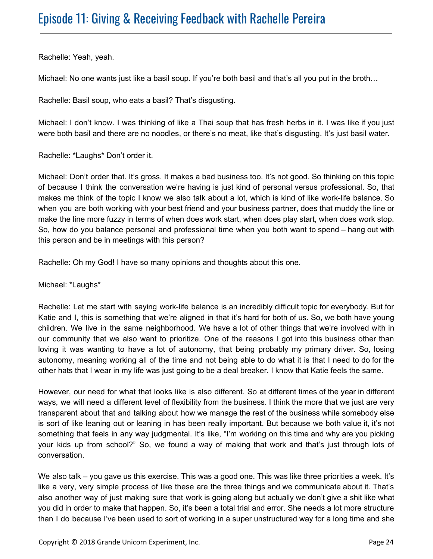Rachelle: Yeah, yeah.

Michael: No one wants just like a basil soup. If you're both basil and that's all you put in the broth…

Rachelle: Basil soup, who eats a basil? That's disgusting.

Michael: I don't know. I was thinking of like a Thai soup that has fresh herbs in it. I was like if you just were both basil and there are no noodles, or there's no meat, like that's disgusting. It's just basil water.

Rachelle: \*Laughs\* Don't order it.

Michael: Don't order that. It's gross. It makes a bad business too. It's not good. So thinking on this topic of because I think the conversation we're having is just kind of personal versus professional. So, that makes me think of the topic I know we also talk about a lot, which is kind of like work-life balance. So when you are both working with your best friend and your business partner, does that muddy the line or make the line more fuzzy in terms of when does work start, when does play start, when does work stop. So, how do you balance personal and professional time when you both want to spend – hang out with this person and be in meetings with this person?

Rachelle: Oh my God! I have so many opinions and thoughts about this one.

Michael: \*Laughs\*

Rachelle: Let me start with saying work-life balance is an incredibly difficult topic for everybody. But for Katie and I, this is something that we're aligned in that it's hard for both of us. So, we both have young children. We live in the same neighborhood. We have a lot of other things that we're involved with in our community that we also want to prioritize. One of the reasons I got into this business other than loving it was wanting to have a lot of autonomy, that being probably my primary driver. So, losing autonomy, meaning working all of the time and not being able to do what it is that I need to do for the other hats that I wear in my life was just going to be a deal breaker. I know that Katie feels the same.

However, our need for what that looks like is also different. So at different times of the year in different ways, we will need a different level of flexibility from the business. I think the more that we just are very transparent about that and talking about how we manage the rest of the business while somebody else is sort of like leaning out or leaning in has been really important. But because we both value it, it's not something that feels in any way judgmental. It's like, "I'm working on this time and why are you picking your kids up from school?" So, we found a way of making that work and that's just through lots of conversation.

We also talk – you gave us this exercise. This was a good one. This was like three priorities a week. It's like a very, very simple process of like these are the three things and we communicate about it. That's also another way of just making sure that work is going along but actually we don't give a shit like what you did in order to make that happen. So, it's been a total trial and error. She needs a lot more structure than I do because I've been used to sort of working in a super unstructured way for a long time and she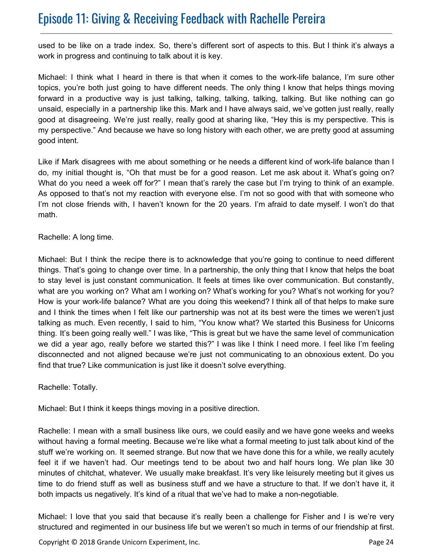used to be like on a trade index. So, there's different sort of aspects to this. But I think it's always a work in progress and continuing to talk about it is key.

Michael: I think what I heard in there is that when it comes to the work-life balance, I'm sure other topics, you're both just going to have different needs. The only thing I know that helps things moving forward in a productive way is just talking, talking, talking, talking, talking. But like nothing can go unsaid, especially in a partnership like this. Mark and I have always said, we've gotten just really, really good at disagreeing. We're just really, really good at sharing like, "Hey this is my perspective. This is my perspective." And because we have so long history with each other, we are pretty good at assuming good intent.

Like if Mark disagrees with me about something or he needs a different kind of work-life balance than I do, my initial thought is, "Oh that must be for a good reason. Let me ask about it. What's going on? What do you need a week off for?" I mean that's rarely the case but I'm trying to think of an example. As opposed to that's not my reaction with everyone else. I'm not so good with that with someone who I'm not close friends with, I haven't known for the 20 years. I'm afraid to date myself. I won't do that math.

Rachelle: A long time.

Michael: But I think the recipe there is to acknowledge that you're going to continue to need different things. That's going to change over time. In a partnership, the only thing that I know that helps the boat to stay level is just constant communication. It feels at times like over communication. But constantly, what are you working on? What am I working on? What's working for you? What's not working for you? How is your work-life balance? What are you doing this weekend? I think all of that helps to make sure and I think the times when I felt like our partnership was not at its best were the times we weren't just talking as much. Even recently, I said to him, "You know what? We started this Business for Unicorns thing. It's been going really well." I was like, "This is great but we have the same level of communication we did a year ago, really before we started this?" I was like I think I need more. I feel like I'm feeling disconnected and not aligned because we're just not communicating to an obnoxious extent. Do you find that true? Like communication is just like it doesn't solve everything.

Rachelle: Totally.

Michael: But I think it keeps things moving in a positive direction.

Rachelle: I mean with a small business like ours, we could easily and we have gone weeks and weeks without having a formal meeting. Because we're like what a formal meeting to just talk about kind of the stuff we're working on. It seemed strange. But now that we have done this for a while, we really acutely feel it if we haven't had. Our meetings tend to be about two and half hours long. We plan like 30 minutes of chitchat, whatever. We usually make breakfast. It's very like leisurely meeting but it gives us time to do friend stuff as well as business stuff and we have a structure to that. If we don't have it, it both impacts us negatively. It's kind of a ritual that we've had to make a non-negotiable.

Michael: I love that you said that because it's really been a challenge for Fisher and I is we're very structured and regimented in our business life but we weren't so much in terms of our friendship at first.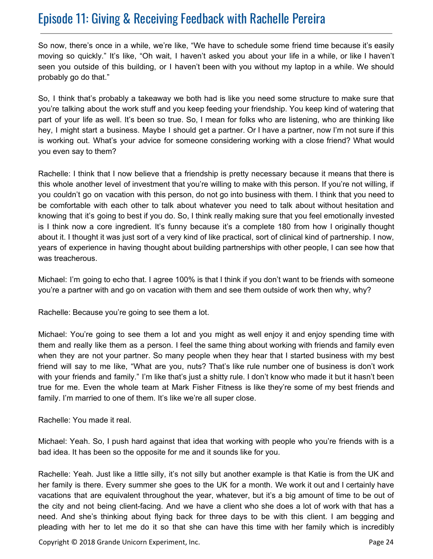So now, there's once in a while, we're like, "We have to schedule some friend time because it's easily moving so quickly." It's like, "Oh wait, I haven't asked you about your life in a while, or like I haven't seen you outside of this building, or I haven't been with you without my laptop in a while. We should probably go do that."

So, I think that's probably a takeaway we both had is like you need some structure to make sure that you're talking about the work stuff and you keep feeding your friendship. You keep kind of watering that part of your life as well. It's been so true. So, I mean for folks who are listening, who are thinking like hey, I might start a business. Maybe I should get a partner. Or I have a partner, now I'm not sure if this is working out. What's your advice for someone considering working with a close friend? What would you even say to them?

Rachelle: I think that I now believe that a friendship is pretty necessary because it means that there is this whole another level of investment that you're willing to make with this person. If you're not willing, if you couldn't go on vacation with this person, do not go into business with them. I think that you need to be comfortable with each other to talk about whatever you need to talk about without hesitation and knowing that it's going to best if you do. So, I think really making sure that you feel emotionally invested is I think now a core ingredient. It's funny because it's a complete 180 from how I originally thought about it. I thought it was just sort of a very kind of like practical, sort of clinical kind of partnership. I now, years of experience in having thought about building partnerships with other people, I can see how that was treacherous.

Michael: I'm going to echo that. I agree 100% is that I think if you don't want to be friends with someone you're a partner with and go on vacation with them and see them outside of work then why, why?

Rachelle: Because you're going to see them a lot.

Michael: You're going to see them a lot and you might as well enjoy it and enjoy spending time with them and really like them as a person. I feel the same thing about working with friends and family even when they are not your partner. So many people when they hear that I started business with my best friend will say to me like, "What are you, nuts? That's like rule number one of business is don't work with your friends and family." I'm like that's just a shitty rule. I don't know who made it but it hasn't been true for me. Even the whole team at Mark Fisher Fitness is like they're some of my best friends and family. I'm married to one of them. It's like we're all super close.

Rachelle: You made it real.

Michael: Yeah. So, I push hard against that idea that working with people who you're friends with is a bad idea. It has been so the opposite for me and it sounds like for you.

Rachelle: Yeah. Just like a little silly, it's not silly but another example is that Katie is from the UK and her family is there. Every summer she goes to the UK for a month. We work it out and I certainly have vacations that are equivalent throughout the year, whatever, but it's a big amount of time to be out of the city and not being client-facing. And we have a client who she does a lot of work with that has a need. And she's thinking about flying back for three days to be with this client. I am begging and pleading with her to let me do it so that she can have this time with her family which is incredibly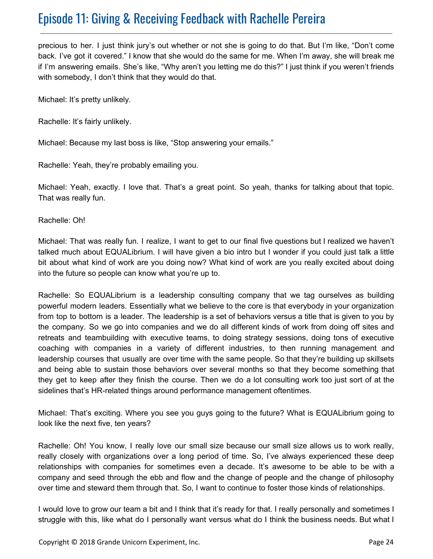precious to her. I just think jury's out whether or not she is going to do that. But I'm like, "Don't come back. I've got it covered." I know that she would do the same for me. When I'm away, she will break me if I'm answering emails. She's like, "Why aren't you letting me do this?" I just think if you weren't friends with somebody, I don't think that they would do that.

Michael: It's pretty unlikely.

Rachelle: It's fairly unlikely.

Michael: Because my last boss is like, "Stop answering your emails."

Rachelle: Yeah, they're probably emailing you.

Michael: Yeah, exactly. I love that. That's a great point. So yeah, thanks for talking about that topic. That was really fun.

Rachelle: Oh!

Michael: That was really fun. I realize, I want to get to our final five questions but I realized we haven't talked much about EQUALibrium. I will have given a bio intro but I wonder if you could just talk a little bit about what kind of work are you doing now? What kind of work are you really excited about doing into the future so people can know what you're up to.

Rachelle: So EQUALibrium is a leadership consulting company that we tag ourselves as building powerful modern leaders. Essentially what we believe to the core is that everybody in your organization from top to bottom is a leader. The leadership is a set of behaviors versus a title that is given to you by the company. So we go into companies and we do all different kinds of work from doing off sites and retreats and teambuilding with executive teams, to doing strategy sessions, doing tons of executive coaching with companies in a variety of different industries, to then running management and leadership courses that usually are over time with the same people. So that they're building up skillsets and being able to sustain those behaviors over several months so that they become something that they get to keep after they finish the course. Then we do a lot consulting work too just sort of at the sidelines that's HR-related things around performance management oftentimes.

Michael: That's exciting. Where you see you guys going to the future? What is EQUALibrium going to look like the next five, ten years?

Rachelle: Oh! You know, I really love our small size because our small size allows us to work really, really closely with organizations over a long period of time. So, I've always experienced these deep relationships with companies for sometimes even a decade. It's awesome to be able to be with a company and seed through the ebb and flow and the change of people and the change of philosophy over time and steward them through that. So, I want to continue to foster those kinds of relationships.

I would love to grow our team a bit and I think that it's ready for that. I really personally and sometimes I struggle with this, like what do I personally want versus what do I think the business needs. But what I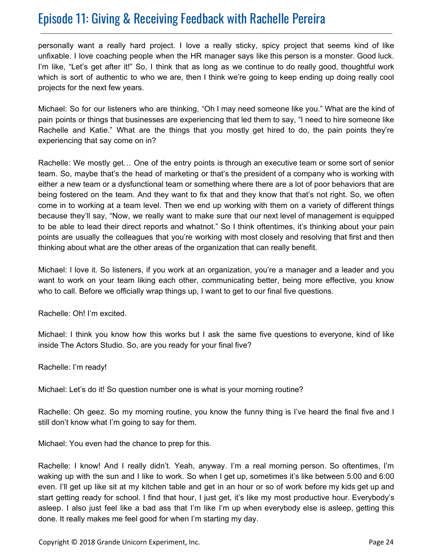personally want a really hard project. I love a really sticky, spicy project that seems kind of like unfixable. I love coaching people when the HR manager says like this person is a monster. Good luck. I'm like, "Let's get after it!" So, I think that as long as we continue to do really good, thoughtful work which is sort of authentic to who we are, then I think we're going to keep ending up doing really cool projects for the next few years.

Michael: So for our listeners who are thinking, "Oh I may need someone like you." What are the kind of pain points or things that businesses are experiencing that led them to say, "I need to hire someone like Rachelle and Katie." What are the things that you mostly get hired to do, the pain points they're experiencing that say come on in?

Rachelle: We mostly get… One of the entry points is through an executive team or some sort of senior team. So, maybe that's the head of marketing or that's the president of a company who is working with either a new team or a dysfunctional team or something where there are a lot of poor behaviors that are being fostered on the team. And they want to fix that and they know that that's not right. So, we often come in to working at a team level. Then we end up working with them on a variety of different things because they'll say, "Now, we really want to make sure that our next level of management is equipped to be able to lead their direct reports and whatnot." So I think oftentimes, it's thinking about your pain points are usually the colleagues that you're working with most closely and resolving that first and then thinking about what are the other areas of the organization that can really benefit.

Michael: I love it. So listeners, if you work at an organization, you're a manager and a leader and you want to work on your team liking each other, communicating better, being more effective, you know who to call. Before we officially wrap things up, I want to get to our final five questions.

Rachelle: Oh! I'm excited.

Michael: I think you know how this works but I ask the same five questions to everyone, kind of like inside The Actors Studio. So, are you ready for your final five?

Rachelle: I'm ready!

Michael: Let's do it! So question number one is what is your morning routine?

Rachelle: Oh geez. So my morning routine, you know the funny thing is I've heard the final five and I still don't know what I'm going to say for them.

Michael: You even had the chance to prep for this.

Rachelle: I know! And I really didn't. Yeah, anyway. I'm a real morning person. So oftentimes, I'm waking up with the sun and I like to work. So when I get up, sometimes it's like between 5:00 and 6:00 even. I'll get up like sit at my kitchen table and get in an hour or so of work before my kids get up and start getting ready for school. I find that hour, I just get, it's like my most productive hour. Everybody's asleep. I also just feel like a bad ass that I'm like I'm up when everybody else is asleep, getting this done. It really makes me feel good for when I'm starting my day.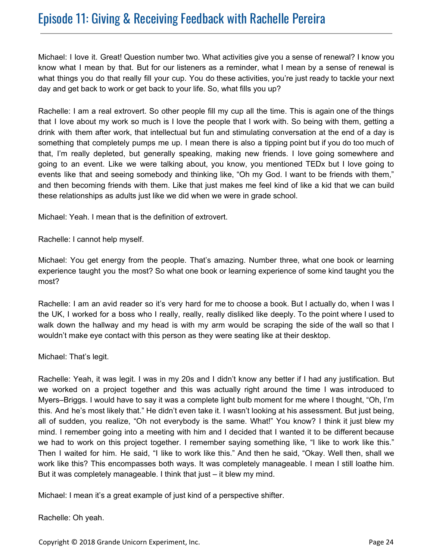Michael: I love it. Great! Question number two. What activities give you a sense of renewal? I know you know what I mean by that. But for our listeners as a reminder, what I mean by a sense of renewal is what things you do that really fill your cup. You do these activities, you're just ready to tackle your next day and get back to work or get back to your life. So, what fills you up?

Rachelle: I am a real extrovert. So other people fill my cup all the time. This is again one of the things that I love about my work so much is I love the people that I work with. So being with them, getting a drink with them after work, that intellectual but fun and stimulating conversation at the end of a day is something that completely pumps me up. I mean there is also a tipping point but if you do too much of that, I'm really depleted, but generally speaking, making new friends. I love going somewhere and going to an event. Like we were talking about, you know, you mentioned TEDx but I love going to events like that and seeing somebody and thinking like, "Oh my God. I want to be friends with them," and then becoming friends with them. Like that just makes me feel kind of like a kid that we can build these relationships as adults just like we did when we were in grade school.

Michael: Yeah. I mean that is the definition of extrovert.

Rachelle: I cannot help myself.

Michael: You get energy from the people. That's amazing. Number three, what one book or learning experience taught you the most? So what one book or learning experience of some kind taught you the most?

Rachelle: I am an avid reader so it's very hard for me to choose a book. But I actually do, when I was I the UK, I worked for a boss who I really, really, really disliked like deeply. To the point where I used to walk down the hallway and my head is with my arm would be scraping the side of the wall so that I wouldn't make eye contact with this person as they were seating like at their desktop.

Michael: That's legit.

Rachelle: Yeah, it was legit. I was in my 20s and I didn't know any better if I had any justification. But we worked on a project together and this was actually right around the time I was introduced to Myers–Briggs. I would have to say it was a complete light bulb moment for me where I thought, "Oh, I'm this. And he's most likely that." He didn't even take it. I wasn't looking at his assessment. But just being, all of sudden, you realize, "Oh not everybody is the same. What!" You know? I think it just blew my mind. I remember going into a meeting with him and I decided that I wanted it to be different because we had to work on this project together. I remember saying something like, "I like to work like this." Then I waited for him. He said, "I like to work like this." And then he said, "Okay. Well then, shall we work like this? This encompasses both ways. It was completely manageable. I mean I still loathe him. But it was completely manageable. I think that just – it blew my mind.

Michael: I mean it's a great example of just kind of a perspective shifter.

Rachelle: Oh yeah.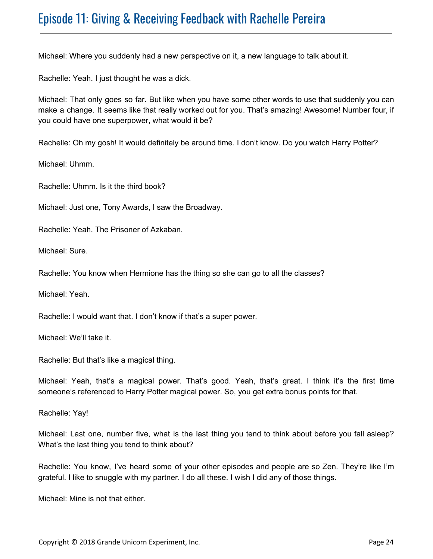Michael: Where you suddenly had a new perspective on it, a new language to talk about it.

Rachelle: Yeah. I just thought he was a dick.

Michael: That only goes so far. But like when you have some other words to use that suddenly you can make a change. It seems like that really worked out for you. That's amazing! Awesome! Number four, if you could have one superpower, what would it be?

Rachelle: Oh my gosh! It would definitely be around time. I don't know. Do you watch Harry Potter?

Michael: Uhmm.

Rachelle: Uhmm. Is it the third book?

Michael: Just one, Tony Awards, I saw the Broadway.

Rachelle: Yeah, The Prisoner of Azkaban.

Michael: Sure.

Rachelle: You know when Hermione has the thing so she can go to all the classes?

Michael: Yeah.

Rachelle: I would want that. I don't know if that's a super power.

Michael: We'll take it.

Rachelle: But that's like a magical thing.

Michael: Yeah, that's a magical power. That's good. Yeah, that's great. I think it's the first time someone's referenced to Harry Potter magical power. So, you get extra bonus points for that.

Rachelle: Yay!

Michael: Last one, number five, what is the last thing you tend to think about before you fall asleep? What's the last thing you tend to think about?

Rachelle: You know, I've heard some of your other episodes and people are so Zen. They're like I'm grateful. I like to snuggle with my partner. I do all these. I wish I did any of those things.

Michael: Mine is not that either.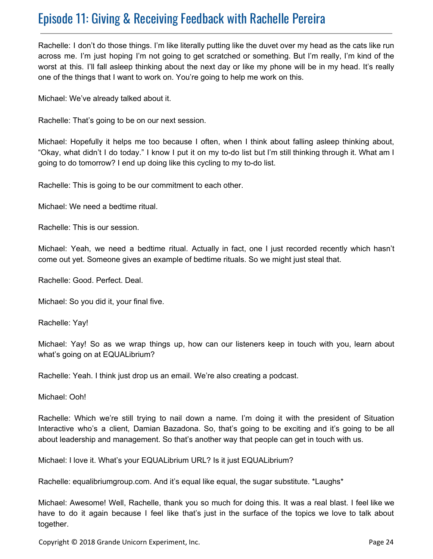Rachelle: I don't do those things. I'm like literally putting like the duvet over my head as the cats like run across me. I'm just hoping I'm not going to get scratched or something. But I'm really, I'm kind of the worst at this. I'll fall asleep thinking about the next day or like my phone will be in my head. It's really one of the things that I want to work on. You're going to help me work on this.

Michael: We've already talked about it.

Rachelle: That's going to be on our next session.

Michael: Hopefully it helps me too because I often, when I think about falling asleep thinking about, "Okay, what didn't I do today." I know I put it on my to-do list but I'm still thinking through it. What am I going to do tomorrow? I end up doing like this cycling to my to-do list.

Rachelle: This is going to be our commitment to each other.

Michael: We need a bedtime ritual.

Rachelle: This is our session.

Michael: Yeah, we need a bedtime ritual. Actually in fact, one I just recorded recently which hasn't come out yet. Someone gives an example of bedtime rituals. So we might just steal that.

Rachelle: Good. Perfect. Deal.

Michael: So you did it, your final five.

Rachelle: Yay!

Michael: Yay! So as we wrap things up, how can our listeners keep in touch with you, learn about what's going on at EQUALibrium?

Rachelle: Yeah. I think just drop us an email. We're also creating a podcast.

Michael: Ooh!

Rachelle: Which we're still trying to nail down a name. I'm doing it with the president of Situation Interactive who's a client, Damian Bazadona. So, that's going to be exciting and it's going to be all about leadership and management. So that's another way that people can get in touch with us.

Michael: I love it. What's your EQUALibrium URL? Is it just EQUALibrium?

Rachelle: equalibriumgroup.com. And it's equal like equal, the sugar substitute. \*Laughs\*

Michael: Awesome! Well, Rachelle, thank you so much for doing this. It was a real blast. I feel like we have to do it again because I feel like that's just in the surface of the topics we love to talk about together.